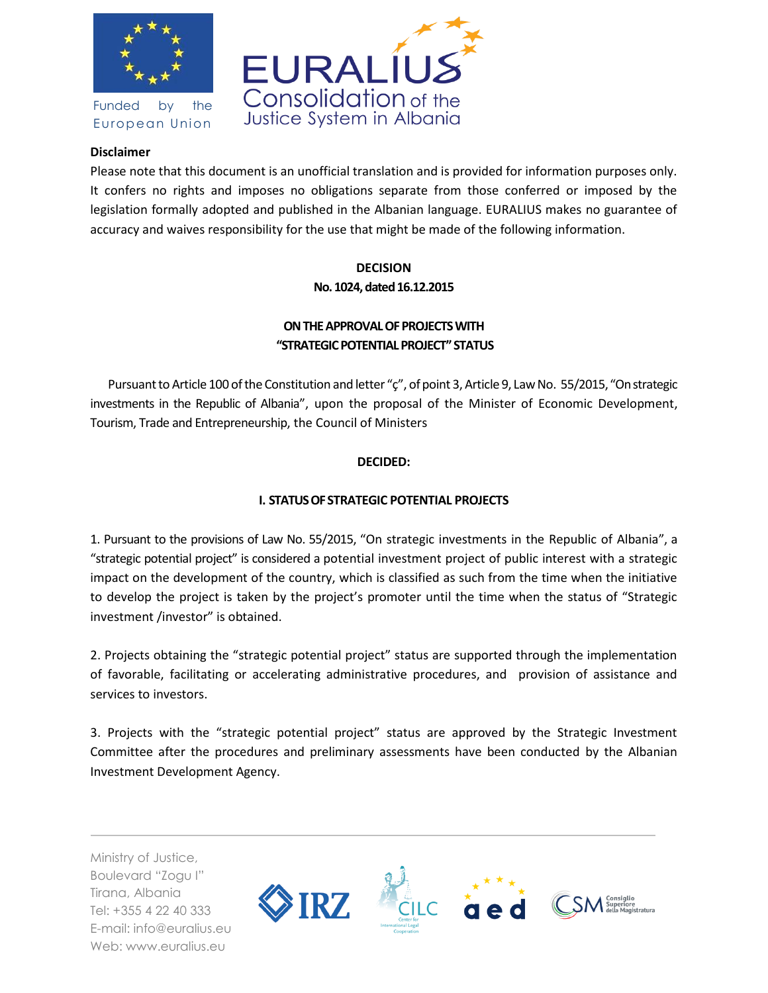

Funded by the European Union



### **Disclaimer**

Please note that this document is an unofficial translation and is provided for information purposes only. It confers no rights and imposes no obligations separate from those conferred or imposed by the legislation formally adopted and published in the Albanian language. EURALIUS makes no guarantee of accuracy and waives responsibility for the use that might be made of the following information.

# **DECISION No. 1024, dated 16.12.2015**

## **ON THE APPROVAL OF PROJECTS WITH "STRATEGIC POTENTIAL PROJECT" STATUS**

Pursuant to Article 100 of the Constitution and letter "ç", of point 3, Article 9, Law No. 55/2015, "On strategic investments in the Republic of Albania", upon the proposal of the Minister of Economic Development, Tourism, Trade and Entrepreneurship, the Council of Ministers

## **DECIDED:**

## **I. STATUS OF STRATEGIC POTENTIAL PROJECTS**

1. Pursuant to the provisions of Law No. 55/2015, "On strategic investments in the Republic of Albania", a "strategic potential project" is considered a potential investment project of public interest with a strategic impact on the development of the country, which is classified as such from the time when the initiative to develop the project is taken by the project's promoter until the time when the status of "Strategic investment /investor" is obtained.

2. Projects obtaining the "strategic potential project" status are supported through the implementation of favorable, facilitating or accelerating administrative procedures, and provision of assistance and services to investors.

3. Projects with the "strategic potential project" status are approved by the Strategic Investment Committee after the procedures and preliminary assessments have been conducted by the Albanian Investment Development Agency.

Ministry of Justice, Boulevard "Zogu I" Tirana, Albania Tel: +355 4 22 40 333 E-mail: info@euralius.eu Web: www.euralius.eu

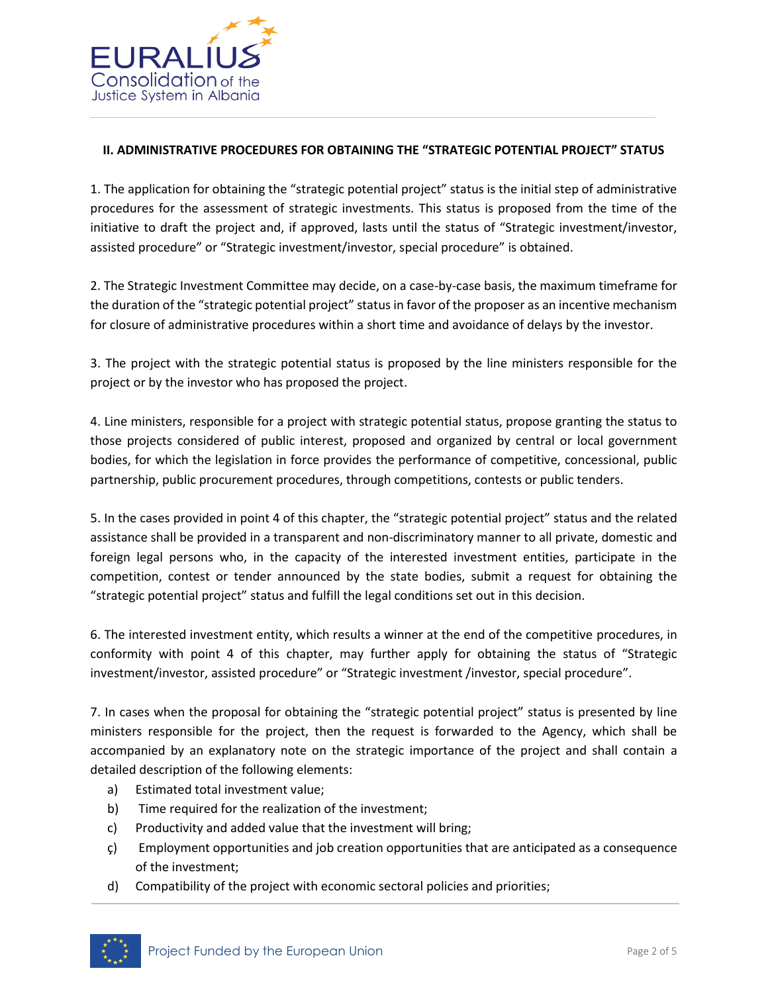

### **II. ADMINISTRATIVE PROCEDURES FOR OBTAINING THE "STRATEGIC POTENTIAL PROJECT" STATUS**

1. The application for obtaining the "strategic potential project" status is the initial step of administrative procedures for the assessment of strategic investments. This status is proposed from the time of the initiative to draft the project and, if approved, lasts until the status of "Strategic investment/investor, assisted procedure" or "Strategic investment/investor, special procedure" is obtained.

2. The Strategic Investment Committee may decide, on a case-by-case basis, the maximum timeframe for the duration of the "strategic potential project" status in favor of the proposer as an incentive mechanism for closure of administrative procedures within a short time and avoidance of delays by the investor.

3. The project with the strategic potential status is proposed by the line ministers responsible for the project or by the investor who has proposed the project.

4. Line ministers, responsible for a project with strategic potential status, propose granting the status to those projects considered of public interest, proposed and organized by central or local government bodies, for which the legislation in force provides the performance of competitive, concessional, public partnership, public procurement procedures, through competitions, contests or public tenders.

5. In the cases provided in point 4 of this chapter, the "strategic potential project" status and the related assistance shall be provided in a transparent and non-discriminatory manner to all private, domestic and foreign legal persons who, in the capacity of the interested investment entities, participate in the competition, contest or tender announced by the state bodies, submit a request for obtaining the "strategic potential project" status and fulfill the legal conditions set out in this decision.

6. The interested investment entity, which results a winner at the end of the competitive procedures, in conformity with point 4 of this chapter, may further apply for obtaining the status of "Strategic investment/investor, assisted procedure" or "Strategic investment /investor, special procedure".

7. In cases when the proposal for obtaining the "strategic potential project" status is presented by line ministers responsible for the project, then the request is forwarded to the Agency, which shall be accompanied by an explanatory note on the strategic importance of the project and shall contain a detailed description of the following elements:

- a) Estimated total investment value;
- b) Time required for the realization of the investment;
- c) Productivity and added value that the investment will bring;
- ç) Employment opportunities and job creation opportunities that are anticipated as a consequence of the investment;
- d) Compatibility of the project with economic sectoral policies and priorities;

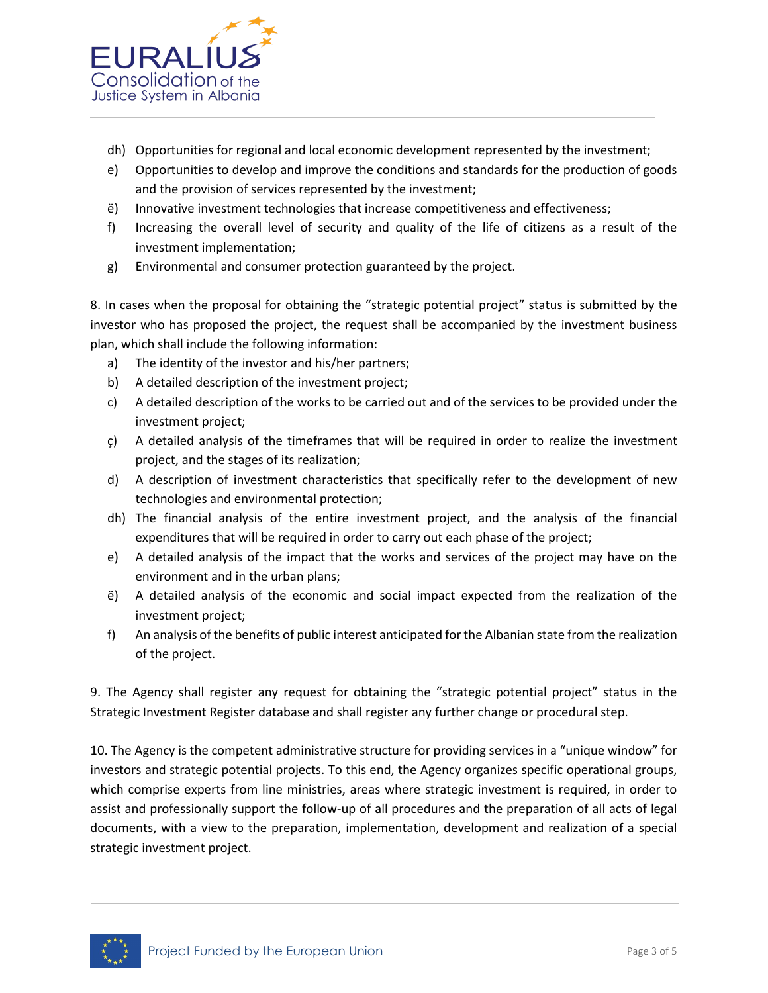

- dh) Opportunities for regional and local economic development represented by the investment;
- e) Opportunities to develop and improve the conditions and standards for the production of goods and the provision of services represented by the investment;
- ë) Innovative investment technologies that increase competitiveness and effectiveness;
- f) Increasing the overall level of security and quality of the life of citizens as a result of the investment implementation;
- g) Environmental and consumer protection guaranteed by the project.

8. In cases when the proposal for obtaining the "strategic potential project" status is submitted by the investor who has proposed the project, the request shall be accompanied by the investment business plan, which shall include the following information:

- a) The identity of the investor and his/her partners;
- b) A detailed description of the investment project;
- c) A detailed description of the works to be carried out and of the services to be provided under the investment project;
- ç) A detailed analysis of the timeframes that will be required in order to realize the investment project, and the stages of its realization;
- d) A description of investment characteristics that specifically refer to the development of new technologies and environmental protection;
- dh) The financial analysis of the entire investment project, and the analysis of the financial expenditures that will be required in order to carry out each phase of the project;
- e) A detailed analysis of the impact that the works and services of the project may have on the environment and in the urban plans;
- ë) A detailed analysis of the economic and social impact expected from the realization of the investment project;
- f) An analysis of the benefits of public interest anticipated for the Albanian state from the realization of the project.

9. The Agency shall register any request for obtaining the "strategic potential project" status in the Strategic Investment Register database and shall register any further change or procedural step.

10. The Agency is the competent administrative structure for providing services in a "unique window" for investors and strategic potential projects. To this end, the Agency organizes specific operational groups, which comprise experts from line ministries, areas where strategic investment is required, in order to assist and professionally support the follow-up of all procedures and the preparation of all acts of legal documents, with a view to the preparation, implementation, development and realization of a special strategic investment project.

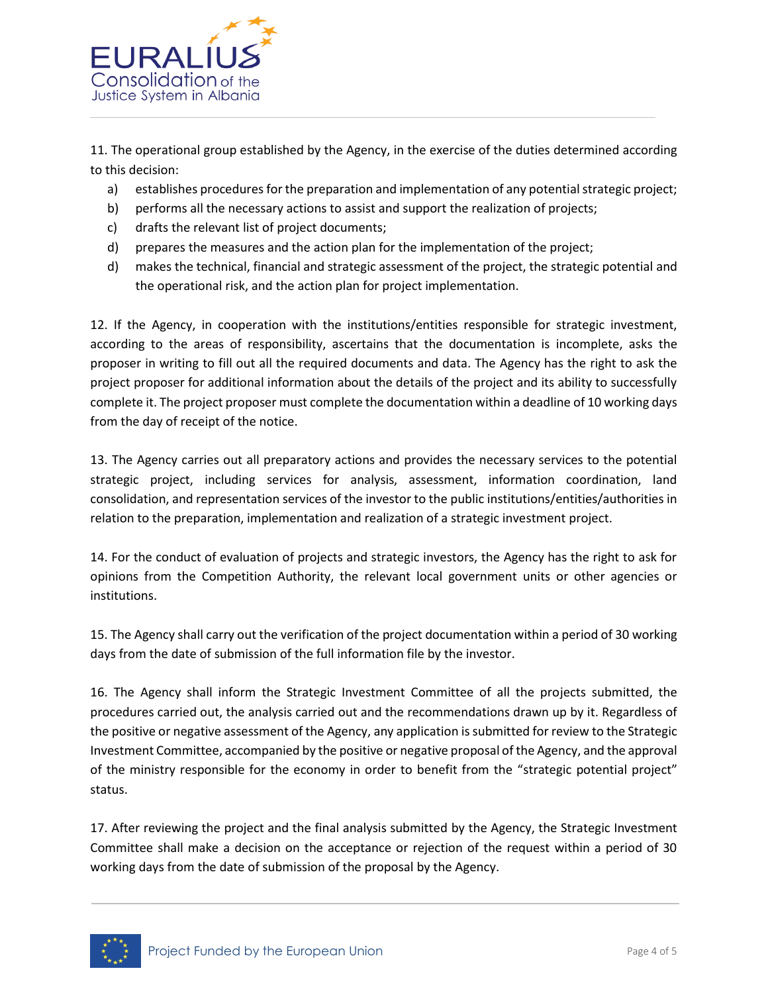

11. The operational group established by the Agency, in the exercise of the duties determined according to this decision:

- a) establishes procedures for the preparation and implementation of any potential strategic project;
- b) performs all the necessary actions to assist and support the realization of projects;
- c) drafts the relevant list of project documents;
- d) prepares the measures and the action plan for the implementation of the project;
- d) makes the technical, financial and strategic assessment of the project, the strategic potential and the operational risk, and the action plan for project implementation.

12. If the Agency, in cooperation with the institutions/entities responsible for strategic investment, according to the areas of responsibility, ascertains that the documentation is incomplete, asks the proposer in writing to fill out all the required documents and data. The Agency has the right to ask the project proposer for additional information about the details of the project and its ability to successfully complete it. The project proposer must complete the documentation within a deadline of 10 working days from the day of receipt of the notice.

13. The Agency carries out all preparatory actions and provides the necessary services to the potential strategic project, including services for analysis, assessment, information coordination, land consolidation, and representation services of the investor to the public institutions/entities/authorities in relation to the preparation, implementation and realization of a strategic investment project.

14. For the conduct of evaluation of projects and strategic investors, the Agency has the right to ask for opinions from the Competition Authority, the relevant local government units or other agencies or institutions.

15. The Agency shall carry out the verification of the project documentation within a period of 30 working days from the date of submission of the full information file by the investor.

16. The Agency shall inform the Strategic Investment Committee of all the projects submitted, the procedures carried out, the analysis carried out and the recommendations drawn up by it. Regardless of the positive or negative assessment of the Agency, any application is submitted for review to the Strategic Investment Committee, accompanied by the positive or negative proposal of the Agency, and the approval of the ministry responsible for the economy in order to benefit from the "strategic potential project" status.

17. After reviewing the project and the final analysis submitted by the Agency, the Strategic Investment Committee shall make a decision on the acceptance or rejection of the request within a period of 30 working days from the date of submission of the proposal by the Agency.